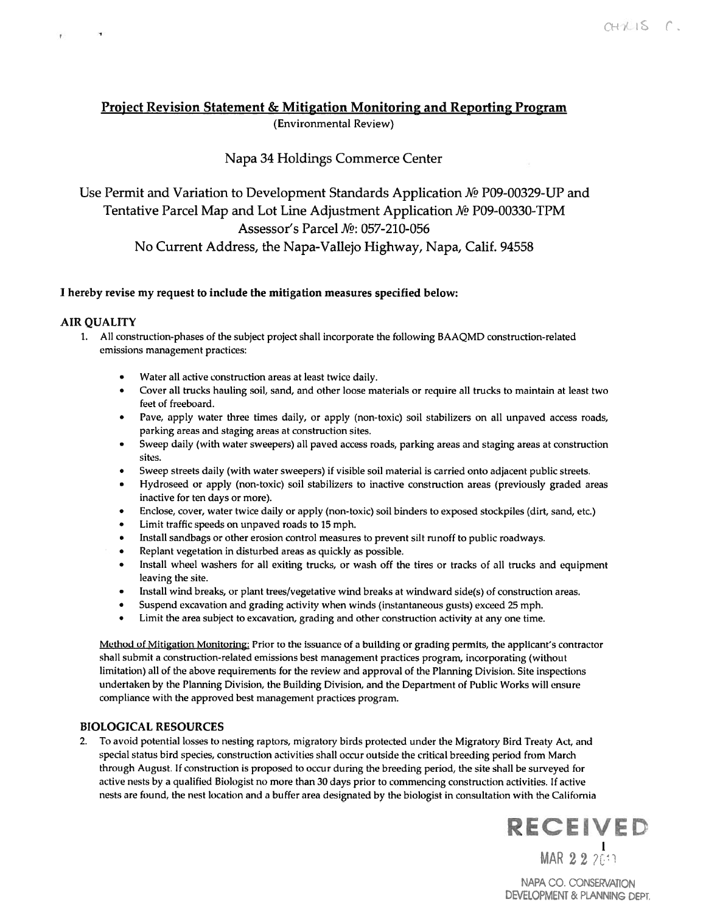# Project Revision Statement & Mitigation Monitoring and Reporting Program (Environmental Review)

# Napa 34 Holdings Commerce Center

Use Permit and Variation to Development Standards Application Mº P09-00329-UP and Tentative Parcel Map and Lot Line Adjustment Application  $\mathcal{N}_2$  P09-00330-TPM Assessor's Parcel No: 057-210-056 No Current Address, the Napa-Vallejo Highway, Napa, Calif. 94558

# I hereby revise my reques<sup>t</sup> to include the mitigation measures specified below:

#### **AIR QUALITY**

 $\rightarrow$ 

 $\mathbf{r}$ 

- All construction-phases of the subject project shall incorporate the following BAAQMD construction-related emissions managemen<sup>t</sup> practices:
	- •Water all active construction areas at least twice daily.
	- • Cover all trucks hauling soil, sand, and other loose materials or require all trucks to maintain at least two feet of freeboard.
	- Pave, apply water three times daily, or apply (non-toxic) soil stabilizers on all unpaved access roads, parking areas and staging areas at construction sites.
	- Sweep daily (with water sweepers) all paved access roads, parking areas and staging areas at construction sites.
	- Sweep streets daily (with water sweepers) if visible soil material is carried onto adjacent public streets.
	- Hydroseed or apply (non-toxic) soil stabilizers to inactive construction areas (previously graded areas inactive for ten days or more).
	- Enclose, cover, water twice daily or apply (non-toxic) soil binders to exposed stockpiles (dirt, sand, etc.)
	- •Limit traffic speeds on unpaved roads to 15 mph.
	- Install sandbags or other erosion control measures to preven<sup>t</sup> silt runoff to public roadways.
	- •Replant vegetation in disturbed areas as quickly as possible.
	- Install wheel washers for all exiting trucks, or wash off the tires or tracks of all trucks and equipment leaving the site.
	- Install wind breaks, or plant trees/vegetative wind breaks at windward side(s) of construction areas.
	- •Suspend excavation and grading activity when winds (instantaneous gusts) exceed <sup>25</sup> mph.
	- Limit the area subject to excavation, grading and other construction activity at any one time.

Method of Mitigation Monitoring: Prior to the issuance of <sup>a</sup> building or grading permits, the applicant's contractor shall submit <sup>a</sup> construction-related emissions best managemen<sup>t</sup> practices program, incorporating (without limitation) all of the above requirements for the review and approval of the Planning Division. Site inspections undertaken by the Planning Division, the Building Division, and the Department of Public Works will ensure compliance with the approved best managemen<sup>t</sup> practices program.

#### BIOLOGICAL RESOURCES

2. To avoid potential losses to nesting raptors, migratory birds protected under the Migratory Bird freaty Act, and special status bird species, construction activities shall occur outside the critical breeding period from March through August. If construction is proposed to occur during the breeding period, the site shall be surveyed for active nests by a qualified Biologist no more than 30 days prior to commencing construction activities. If active nests are found, the nest location and <sup>a</sup> buffer area designated by the biologist in consultation with the California



NAPA CO. CONSERVATION DEVELOPMENT & PLANNING DEPT.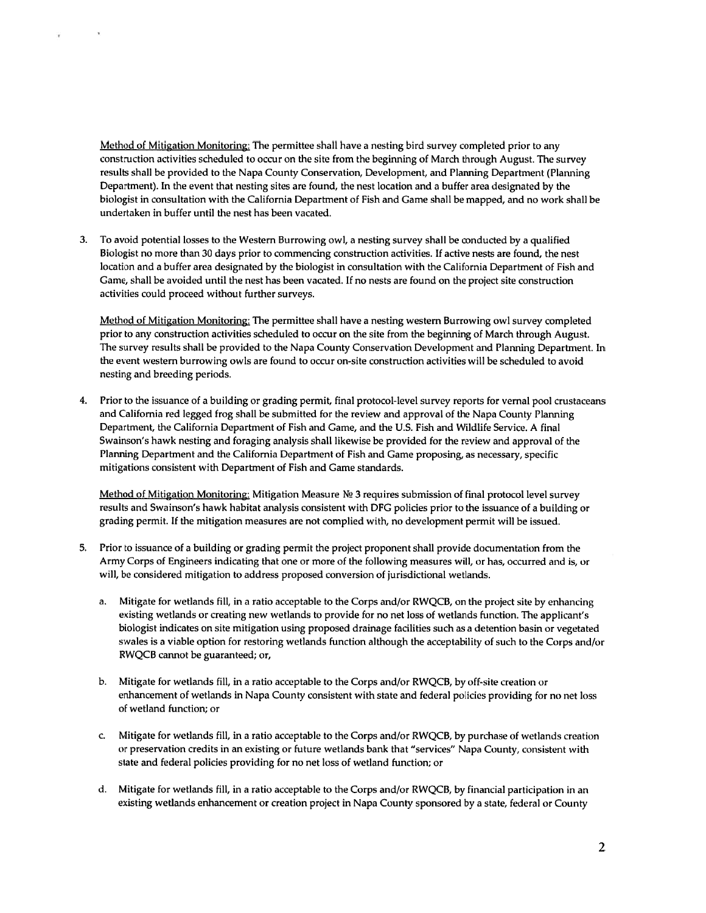Method of Mitigation Monitoring: The permittee shall have <sup>a</sup> nesting bird survey completed prior to any construction activities scheduled to occur on the site from the beginning of March through August. The survey results shall be provided to the Napa County Conservation, Development, and Planning Department (Planning Department). In the event that nesting sites are found, the nest location and <sup>a</sup> buffer area designated by the biologist in consultation with the California Department of Fish and Game shall be mapped, and no work shall be undertaken in buffer until the nest has been vacated.

¥

3. To avoid potential losses to the Western Burrowing owl, <sup>a</sup> nesting survey shall be conducted by <sup>a</sup> qualified Biologist no more than 30 days prior to commencing construction activities. If active nests are found, the nest location and <sup>a</sup> buffer area designated by the biologist in consultation with the California Department of Fish and Game, shall be avoided until the nest has been vacated, If no nests are found on the project site construction activities could proceed without further surveys.

Method of Mitigation Monitoring: The permittee shall have <sup>a</sup> nesting western Burrowing owl survey completed prior to any construction activities scheduled to occur on the site from the beginning of March through August. The survey results shall be provided to the Napa County Conservation Development and Planning Department. In the event western burrowing owls are found to occur on-site construction activities will be scheduled to avoid nesting and breeding periods.

4. Prior to the issuance of <sup>a</sup> building or grading permit, final protocol-level survey reports for vernal pool crustaceans and California red legged frog shall be submitted for the review and approva<sup>l</sup> of the Napa County Planning Department, the California Department of Fish and Game, and the U.S. Fish and Wildlife Service. A final Swainson's hawk nesting and foraging analysis shall likewise be provided for the review and approval of the Planning Department and the California Department of Fish and Game proposing, as necessary, specific mitigations consistent with Department of Fish and Game standards.

Method of Mitigation Monitoring: Mitigation Measure Nº 3 requires submission of final protocol level survey results and Swainson's hawk habitat analysis consistent with DFG policies prior to the issuance of <sup>a</sup> building or grading permit. If the mitigation measures are not complied with, no development permit will be issued.

- 5. Prior to issuance of <sup>a</sup> building or grading permit the project proponen<sup>t</sup> shall provide documentation from the Army Corps of Engineers indicating that one or more of the following measures will, or has, occurred and is, or will, be considered mitigation to address proposed conversion of jurisdictional wetlands.
	- a. Mitigate for wetlands fill, in <sup>a</sup> ratio acceptable to the Corps and/or RWQCB, on the project site by enhancing existing wetlands or creating new wetlands to provide for no net loss of wetlands function. The applicant's biologist indicates on site mitigation using propose<sup>d</sup> drainage facilities such as <sup>a</sup> detention basin or vegetated swales is <sup>a</sup> viable option for restoring wetlands function although the acceptability of such to the Corps and/or RWQCB carmot be guaranteed; or,
	- h. Mitigate for wetlands fill, in <sup>a</sup> ratio acceptable to the Corps and/or RWQCB, by off-site creation or enhancement of wetlands in Napa County consistent with state and federal policies providing for no net loss of wetland function; or
	- c. Mitigate for wetlands fill, in <sup>a</sup> ratio acceptable to the Corps and/or RWQCB, by purchase of wetlands creation or preservation credits in an existing or future wetlands bank that "services" Napa County, consistent with state and federal policies providing for no net loss of wetland function; or
	- d. Mitigate for wetlands fill, in a ratio acceptable to the Corps and/or RWQCB, by financial participation in an existing wetlands enhancement or creation project in Napa County sponsored by <sup>a</sup> state, federal or County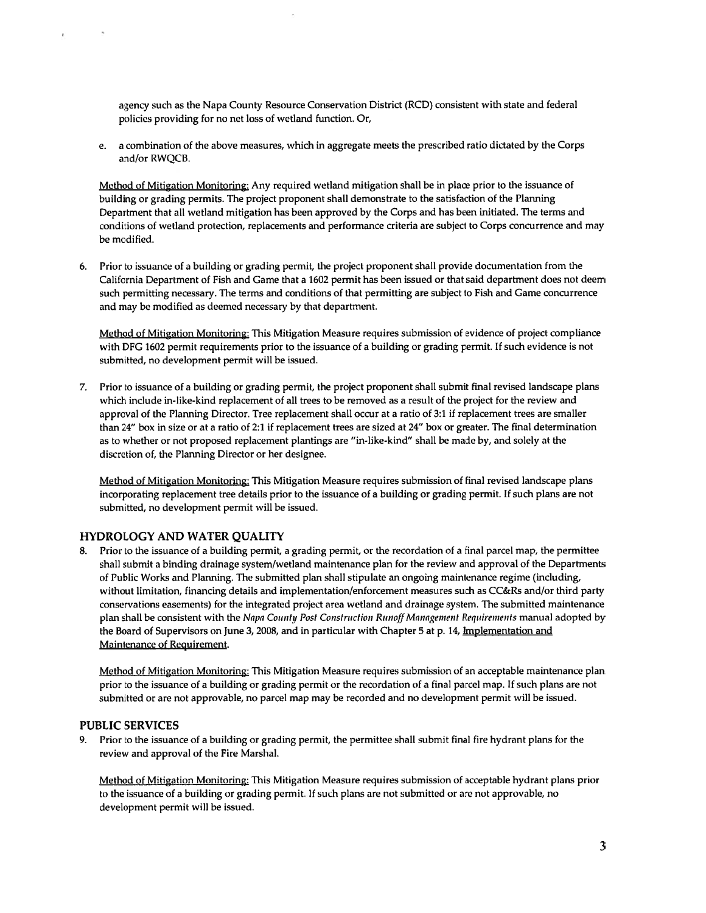agency such as the Napa County Resource Conservation District (RCD) consistent with state and federal policies providing for no net loss of wetland function. Or,

e. <sup>a</sup> combination of the above measures, which in aggregate meets the prescribed ratio dictated by the Corps and/or RWQCB.

Method of Mitigation Monitoring: Any required wetland mitigation shall be in place prior to the issuance of building or grading permits. The project proponen<sup>t</sup> shall demonstrate to the satisfaction of the Planning Department that all wetland mitigation has been approved by the Corps and has been initiated. The terms and conditions of wetland protection, replacements and performance criteria are subject to Corps concurrence and may be modified.

6. Prior to issuance of <sup>a</sup> building or grading permit, the project proponen<sup>t</sup> shall provide documentation from the California Department of Fish and Game that <sup>a</sup> 1602 permit has been issued or that said department does not deem such permitting necessary. The terms and conditions of that permitting are subject to Fish and Game concurrence and may be modified as deemed necessary by that department.

Method of Mitigation Monitoring: This Mitigation Measure requires submission of evidence of project compliance with DFG 1602 permit requirements prior to the issuance of <sup>a</sup> building or grading permit. if such evidence is not submitted, no development permit will be issued.

7. Prior to issuance of <sup>a</sup> building or grading permit, the project proponen<sup>t</sup> shall submit final revised landscape plans which include in-like-kind replacement of all trees to be removed as <sup>a</sup> result of the project for the review and approval of the Planning Director. Tree replacement shall occur at <sup>a</sup> ratio of 3:1 if replacement trees are smaller than 24" box in size or at <sup>a</sup> ratio of 2:1 if replacement trees are sized at 24" box or greater. The final determination as to whether or not proposed replacement plantings are "in-like-kind" shall be made by, and solely at the discretion of, the Planning Director or her designee.

Method of Mitigation Monitoring: This Mitigation Measure requires submission of final revised landscape plans incorporating replacement tree details prior to the issuance of <sup>a</sup> building or grading permit. If such plans are not submitted, no development permit will be issued.

#### HYDROLOGY AND WATER QUALITY

8. Prior to the issuance of <sup>a</sup> building permit, <sup>a</sup> grading permit, or the recordation of <sup>a</sup> final parcel map, the permittee shall submit <sup>a</sup> binding drainage system/wetland maintenance plan for the review and approval of the Departments of Public Works and Planning. The submitted plan shall stipulate an ongoing maintenance regime (including, without limitation, financing details and implementation/enforcement measures such as CC&Rs and/or third party conservations easements) for the integrated project area wetland and drainage system. The submitted maintenance plan shall be consistent with the Napa County Post Construction Runoff Management Requirements manual adopted by the Board of Supervisors on June 3, 2008, and in particular with Chapter 5 at p. 14, Implementation and Maintenance of Requirement.

Method of Mitigation Monitoring: This Mitigation Measure requires submission of an acceptable maintenance plan prior to the issuance of <sup>a</sup> building or grading permit or the recordation of <sup>a</sup> final parcel map. If such plans are not submitted or are not approvable, no parcel map may be recorded and no development permit will be issued.

#### PUBLIC SERVICES

 $\mathcal{R}^{\prime}$ 

 $\bar{\pmb{\epsilon}}$ 

9. Prior to the issuance of <sup>a</sup> building or grading permit, the permittee shall submit final fire hydrant plans for the review and approval of the Fire Marshal.

Method of Mitigation Monitoring: Fhis Mitigation Measure requires submission of acceptable hydrant plans prior to the issuance of <sup>a</sup> building or grading permit. If such plans are not submitted or are not approvable, no development permit will be issued.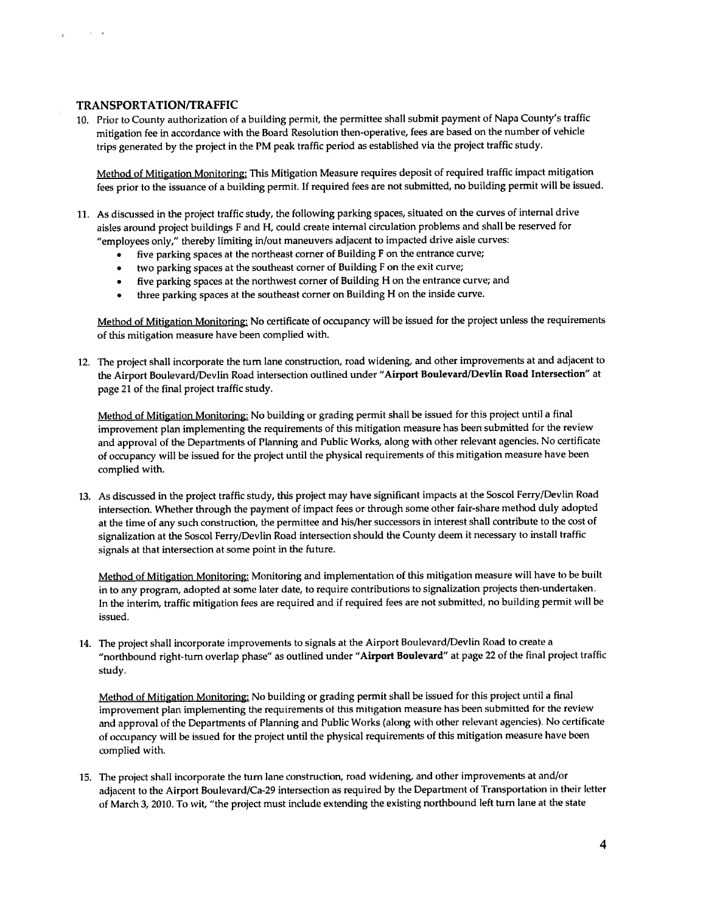## TRANSPORTATION/TRAFFIC

 $-28 - 30$ 

Ý.

10. Prior to County authorization of <sup>a</sup> building permit, the permittee shall submit paymen<sup>t</sup> of Napa County's traffic mitigation fee in accordance with the Board Resolution then-operative, fees are based on the number of vehicle trips generated by the project in the PM peak traffic period as established via the project traffic study.

Method of Mitigation Monitoring: This Mitigation Measure requires deposit of required traffic impact mitigation fees prior to the issuance of <sup>a</sup> building permit. If required fees are not submitted, no building permit will be issued.

- 11. As discussed in the project traffic study, the following parking spaces, situated on the curves of internal drive aisles around project buildings <sup>F</sup> and H, could create internal circulation problems and shall be reserved for "employees only," thereby limiting in/out maneuvers adjacent to impacted drive aisle curves:
	- five parking spaces at the northeast corner of Building <sup>F</sup> on the entrance curve;
	- •two parking spaces at the southeast corner of Building <sup>F</sup> on the exit curve;
	- •five parking spaces at the northwest corner of Building <sup>H</sup> on the entrance curve; and
	- •three parking spaces at the southeast corner on Building <sup>H</sup> on the inside curve.

Method of Mitigation Monitoring: No certificate of occupancy will be issued for the project unless the requirements of this mitigation measure have been complied with.

12. The project shall incorporate the turn lane construction, road widening, and other improvements at and adjacent to the Airport Boulevard/Devlin Road intersection outlined under "Airport Boulevard/Devlin Road Intersection" at page 21 of the final project traffic study.

Method of Mitigation Monitoring: No building or grading permit shall be issued for this project until <sup>a</sup> final improvement <sup>p</sup>lan implementing the requirements of this mitigation measure has been submitted for the review and approva<sup>l</sup> of the Departments of Planning and Public Works, along with other relevant agencies. No certificate of occupancy will be issued for the project until the <sup>p</sup>hysical requirements of this mitigation measure have been complied with.

13. As discussed in the project traffic study, this project may have significant impacts at the Soscol Ferry/Devlin Road intersection. Whether through the paymen<sup>t</sup> of impact fees or through some other fair-share method duly adopted at the time of any such construction, the permittee and his/her successors in interest shall contribute to the cost of signalization at the Soscol Ferry/Devlin Road intersection should the County deem it necessary to install traffic signals at that intersection at some point in the future.

Method of Mitigation Monitoring: Monitoring and implementation of this mitigation measure will have to be built in to any program, adopted at some later date, to require contributions to signalization projects then-undertaken. In the interim, traffic mitigation fees are required and if required fees are not submitted, no building permit will he issued.

14. The project shall incorporate improvements to signals at the Airport Boulevard/Devlin Road to create a "northbound right-turn overlap phase" as outlined under "Airport Boulevard" at page 22 of the final project traffic study.

Method of Mitigation Monitoring: No building or grading permit shall be issued for this project until <sup>a</sup> final improvement <sup>p</sup>lan implementing the requirements of this mitigation measure has been submitted for the review and approval of the Departments of Planning and Public Works (along with other relevant agencies). No certificate of occupancy will he issued for the project until the <sup>p</sup>hysical requirements of this mitigation measure have been complied with.

15. The project shall incorporate the turn lane construction, road widening, and other improvements at and/or adjacent to the Airport Boulevard/Ca-29 intersection as required by the Department of Transportation in their letter of March 3, 2010. To wit, "the project must include extending the existing northbound left turn lane at the state